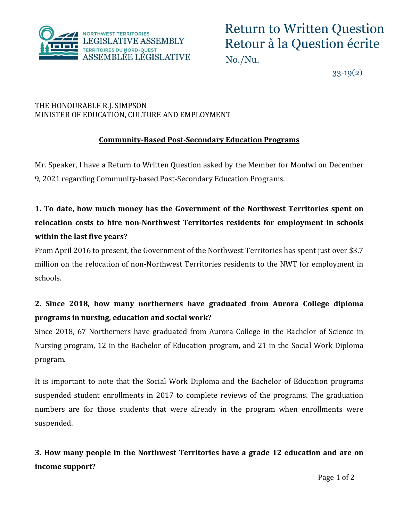

33-19(2)

#### THE HONOURABLE R.J. SIMPSON MINISTER OF EDUCATION, CULTURE AND EMPLOYMENT

### **Community-Based Post-Secondary Education Programs**

Mr. Speaker, I have a Return to Written Question asked by the Member for Monfwi on December 9, 2021 regarding Community-based Post-Secondary Education Programs.

# **1. To date, how much money has the Government of the Northwest Territories spent on relocation costs to hire non-Northwest Territories residents for employment in schools within the last five years?**

From April 2016 to present, the Government of the Northwest Territories has spent just over \$3.7 million on the relocation of non-Northwest Territories residents to the NWT for employment in schools.

## **2. Since 2018, how many northerners have graduated from Aurora College diploma programs in nursing, education and social work?**

Since 2018, 67 Northerners have graduated from Aurora College in the Bachelor of Science in Nursing program, 12 in the Bachelor of Education program, and 21 in the Social Work Diploma program.

It is important to note that the Social Work Diploma and the Bachelor of Education programs suspended student enrollments in 2017 to complete reviews of the programs. The graduation numbers are for those students that were already in the program when enrollments were suspended.

**3. How many people in the Northwest Territories have a grade 12 education and are on income support?**